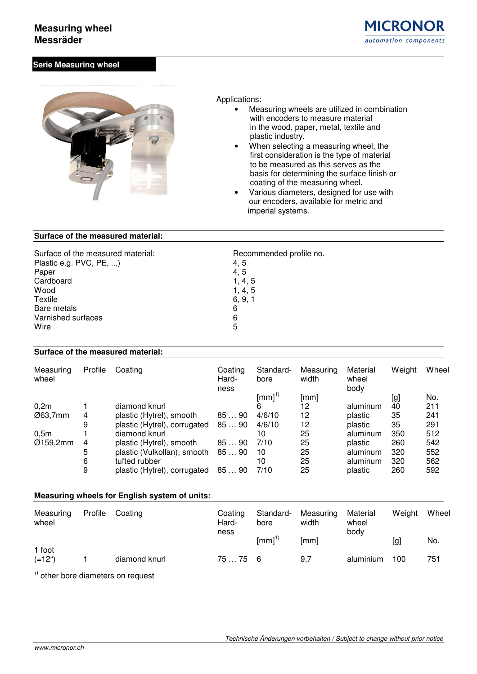## **Measuring wheel Messräder**



### **Serie Measuring wheel**



Applications:

- Measuring wheels are utilized in combination with encoders to measure material in the wood, paper, metal, textile and plastic industry.
- When selecting a measuring wheel, the first consideration is the type of material to be measured as this serves as the basis for determining the surface finish or coating of the measuring wheel.
- Various diameters, designed for use with our encoders, available for metric and imperial systems.

### **Surface of the measured material:**

| Surface of the measured material: | Recommended profile no. |
|-----------------------------------|-------------------------|
| Plastic e.g. PVC, PE, )           | 4, 5                    |
| Paper                             | 4, 5                    |
| Cardboard                         | 1, 4, 5                 |
| Wood                              | 1, 4, 5                 |
| Textile                           | 6, 9, 1                 |
| Bare metals                       | 6                       |
| Varnished surfaces                | 6                       |
| Wire                              | 5                       |

#### **Surface of the measured material:**

| Measuring<br>wheel | Profile | Coating                      | Coating<br>Hard-<br>ness | Standard-<br>bore | Measuring<br>width | Material<br>wheel<br>body | Weight | Wheel |
|--------------------|---------|------------------------------|--------------------------|-------------------|--------------------|---------------------------|--------|-------|
|                    |         |                              |                          | [mm] $^{1)}$      | [mm]               |                           | [g]    | No.   |
| 0,2m               |         | diamond knurl                |                          | 6                 | 12                 | aluminum                  | 40     | 211   |
| Ø63,7mm            | 4       | plastic (Hytrel), smooth     | 8590                     | 4/6/10            | 12                 | plastic                   | 35     | 241   |
|                    | 9       | plastic (Hytrel), corrugated | 8590                     | 4/6/10            | 12                 | plastic                   | 35     | 291   |
| 0,5m               |         | diamond knurl                |                          | 10                | 25                 | aluminum                  | 350    | 512   |
| Ø159,2mm           | 4       | plastic (Hytrel), smooth     | 8590                     | 7/10              | 25                 | plastic                   | 260    | 542   |
|                    | 5       | plastic (Vulkollan), smooth  | 8590                     | 10                | 25                 | aluminum                  | 320    | 552   |
|                    | 6       | tufted rubber                |                          | 10                | 25                 | aluminum                  | 320    | 562   |
|                    | 9       | plastic (Hytrel), corrugated | 8590                     | 7/10              | 25                 | plastic                   | 260    | 592   |

### **Measuring wheels for English system of units:**

| Measuring<br>wheel        | Profile | Coating       | Coating<br>Hard-<br>ness | Standard-<br>bore | Measuring<br>width | Material<br>wheel<br>body | Weight | Wheel |
|---------------------------|---------|---------------|--------------------------|-------------------|--------------------|---------------------------|--------|-------|
|                           |         |               |                          | $\text{[mm]}^{1}$ | [mm]               |                           | [g]    | No.   |
| 1 foot<br>$(=12^{\circ})$ |         | diamond knurl | 7575 6                   |                   | 9,7                | aluminium                 | 100    | 751   |

<sup>1)</sup> other bore diameters on request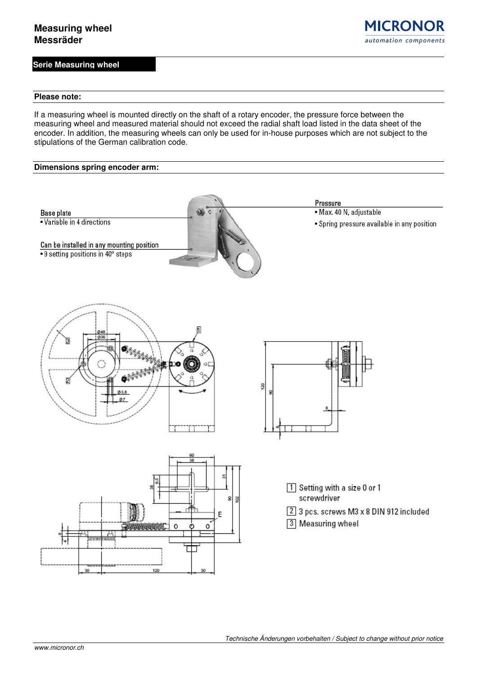**Serie Measuring wheel**

**MICRONOR** automation components

#### **Please note:**

If a measuring wheel is mounted directly on the shaft of a rotary encoder, the pressure force between the measuring wheel and measured material should not exceed the radial shaft load listed in the data sheet of the encoder. In addition, the measuring wheels can only be used for in-house purposes which are not subject to the stipulations of the German calibration code.

### **Dimensions spring encoder arm:**

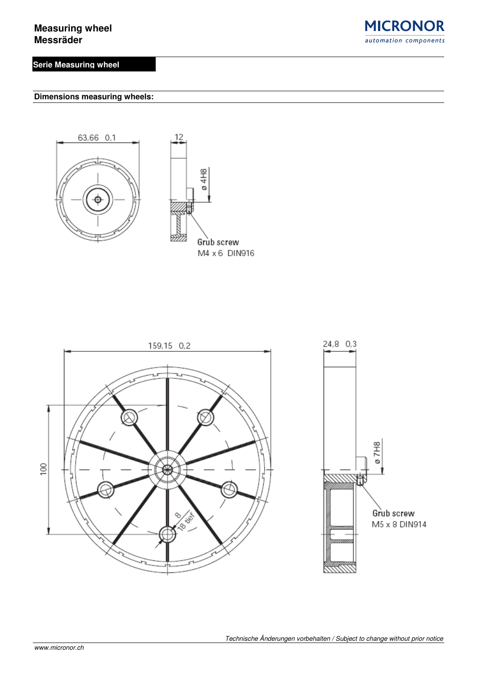# **Serie Measuring wheel**



**Dimensions measuring wheels:** 





12